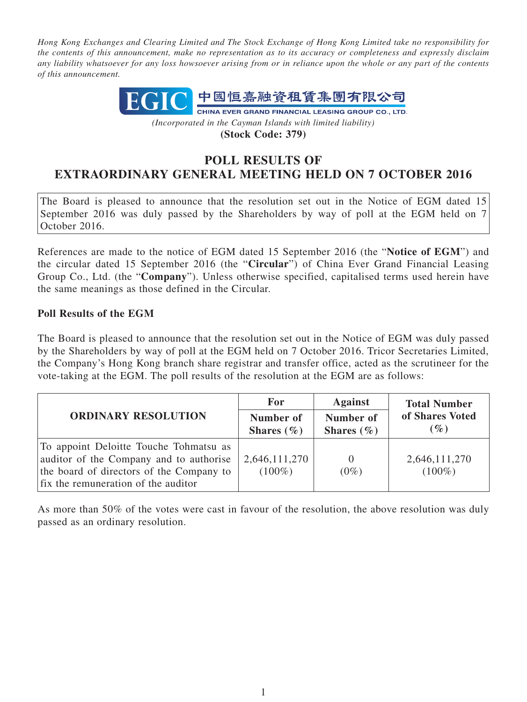*Hong Kong Exchanges and Clearing Limited and The Stock Exchange of Hong Kong Limited take no responsibility for the contents of this announcement, make no representation as to its accuracy or completeness and expressly disclaim any liability whatsoever for any loss howsoever arising from or in reliance upon the whole or any part of the contents of this announcement.*



**(Stock Code: 379)**

## **POLL RESULTS OF EXTRAORDINARY GENERAL MEETING HELD ON 7 OCTOBER 2016**

The Board is pleased to announce that the resolution set out in the Notice of EGM dated 15 September 2016 was duly passed by the Shareholders by way of poll at the EGM held on 7 October 2016.

References are made to the notice of EGM dated 15 September 2016 (the "**Notice of EGM**") and the circular dated 15 September 2016 (the "**Circular**") of China Ever Grand Financial Leasing Group Co., Ltd. (the "**Company**"). Unless otherwise specified, capitalised terms used herein have the same meanings as those defined in the Circular.

## **Poll Results of the EGM**

The Board is pleased to announce that the resolution set out in the Notice of EGM was duly passed by the Shareholders by way of poll at the EGM held on 7 October 2016. Tricor Secretaries Limited, the Company's Hong Kong branch share registrar and transfer office, acted as the scrutineer for the vote-taking at the EGM. The poll results of the resolution at the EGM are as follows:

| <b>ORDINARY RESOLUTION</b>                                                                                                                                           | For                         | <b>Against</b>              | <b>Total Number</b><br>of Shares Voted<br>$(\%)$ |
|----------------------------------------------------------------------------------------------------------------------------------------------------------------------|-----------------------------|-----------------------------|--------------------------------------------------|
|                                                                                                                                                                      | Number of<br>Shares $(\% )$ | Number of<br>Shares $(\% )$ |                                                  |
| To appoint Deloitte Touche Tohmatsu as<br>auditor of the Company and to authorise<br>the board of directors of the Company to<br>fix the remuneration of the auditor | 2,646,111,270<br>$(100\%)$  | $\theta$<br>$(0\%)$         | 2,646,111,270<br>$(100\%)$                       |

As more than 50% of the votes were cast in favour of the resolution, the above resolution was duly passed as an ordinary resolution.